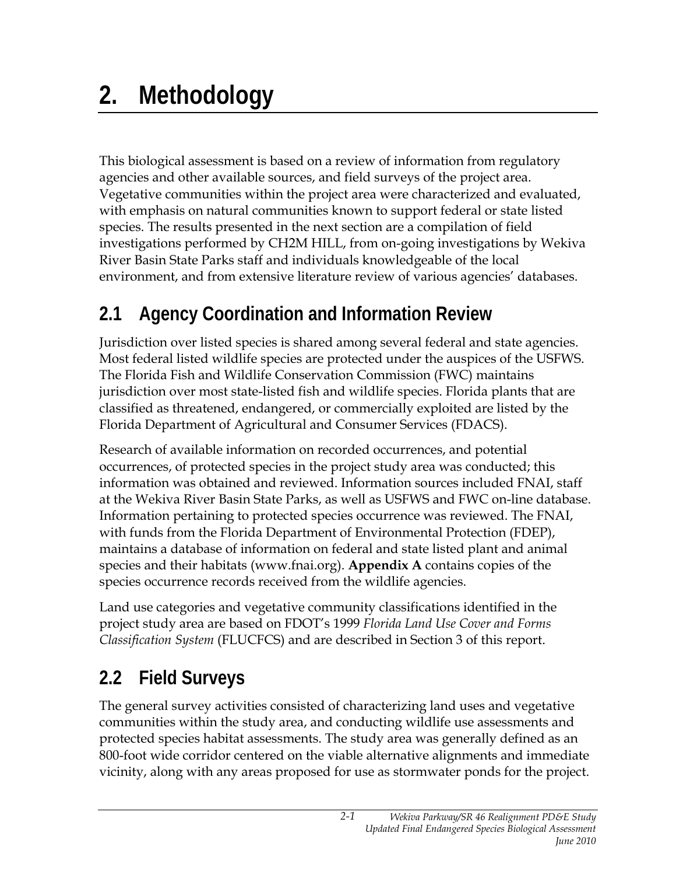## **2. Methodology**

This biological assessment is based on a review of information from regulatory agencies and other available sources, and field surveys of the project area. Vegetative communities within the project area were characterized and evaluated, with emphasis on natural communities known to support federal or state listed species. The results presented in the next section are a compilation of field investigations performed by CH2M HILL, from on-going investigations by Wekiva River Basin State Parks staff and individuals knowledgeable of the local environment, and from extensive literature review of various agencies' databases.

## **2.1 Agency Coordination and Information Review**

Jurisdiction over listed species is shared among several federal and state agencies. Most federal listed wildlife species are protected under the auspices of the USFWS. The Florida Fish and Wildlife Conservation Commission (FWC) maintains jurisdiction over most state-listed fish and wildlife species. Florida plants that are classified as threatened, endangered, or commercially exploited are listed by the Florida Department of Agricultural and Consumer Services (FDACS).

Research of available information on recorded occurrences, and potential occurrences, of protected species in the project study area was conducted; this information was obtained and reviewed. Information sources included FNAI, staff at the Wekiva River Basin State Parks, as well as USFWS and FWC on-line database. Information pertaining to protected species occurrence was reviewed. The FNAI, with funds from the Florida Department of Environmental Protection (FDEP), maintains a database of information on federal and state listed plant and animal species and their habitats (www.fnai.org). **Appendix A** contains copies of the species occurrence records received from the wildlife agencies.

Land use categories and vegetative community classifications identified in the project study area are based on FDOT's 1999 *Florida Land Use Cover and Forms Classification System* (FLUCFCS) and are described in Section 3 of this report.

## **2.2 Field Surveys**

The general survey activities consisted of characterizing land uses and vegetative communities within the study area, and conducting wildlife use assessments and protected species habitat assessments. The study area was generally defined as an 800-foot wide corridor centered on the viable alternative alignments and immediate vicinity, along with any areas proposed for use as stormwater ponds for the project.